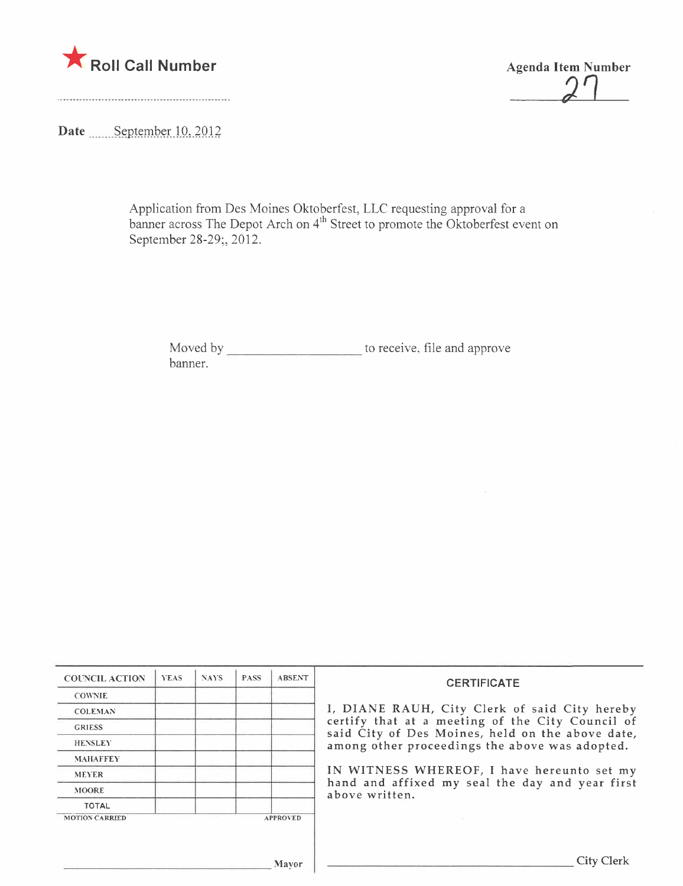

 $\frac{2}{2}$ 

Date September 10, 2012

Application from Des Moines Oktoberfest, LLC requesting approval for a banner across The Depot Arch on 4"" Street to promote the Oktoberfest event on September 28-29;, 2012.

Moved by to receive, file and approve banner.

| <b>COUNCIL ACTION</b> | <b>YEAS</b> | <b>NAYS</b> | <b>PASS</b> | <b>ABSENT</b>   | <b>CERTIFICATE</b>                                                                                                                                                                                      |
|-----------------------|-------------|-------------|-------------|-----------------|---------------------------------------------------------------------------------------------------------------------------------------------------------------------------------------------------------|
| <b>COWNIE</b>         |             |             |             |                 |                                                                                                                                                                                                         |
| <b>COLEMAN</b>        |             |             |             |                 | I, DIANE RAUH, City Clerk of said City hereby<br>certify that at a meeting of the City Council of<br>said City of Des Moines, held on the above date,<br>among other proceedings the above was adopted. |
| <b>GRIESS</b>         |             |             |             |                 |                                                                                                                                                                                                         |
| <b>HENSLEY</b>        |             |             |             |                 |                                                                                                                                                                                                         |
| <b>MAHAFFEY</b>       |             |             |             |                 |                                                                                                                                                                                                         |
| <b>MEYER</b>          |             |             |             |                 | IN WITNESS WHEREOF, I have hereunto set my<br>hand and affixed my seal the day and year first<br>above written.                                                                                         |
| <b>MOORE</b>          |             |             |             |                 |                                                                                                                                                                                                         |
| <b>TOTAL</b>          |             |             |             |                 |                                                                                                                                                                                                         |
| <b>MOTION CARRIED</b> |             |             |             | <b>APPROVED</b> |                                                                                                                                                                                                         |
|                       |             |             |             |                 |                                                                                                                                                                                                         |
|                       |             |             |             |                 |                                                                                                                                                                                                         |
|                       |             |             |             | Mavor           | City Clerk                                                                                                                                                                                              |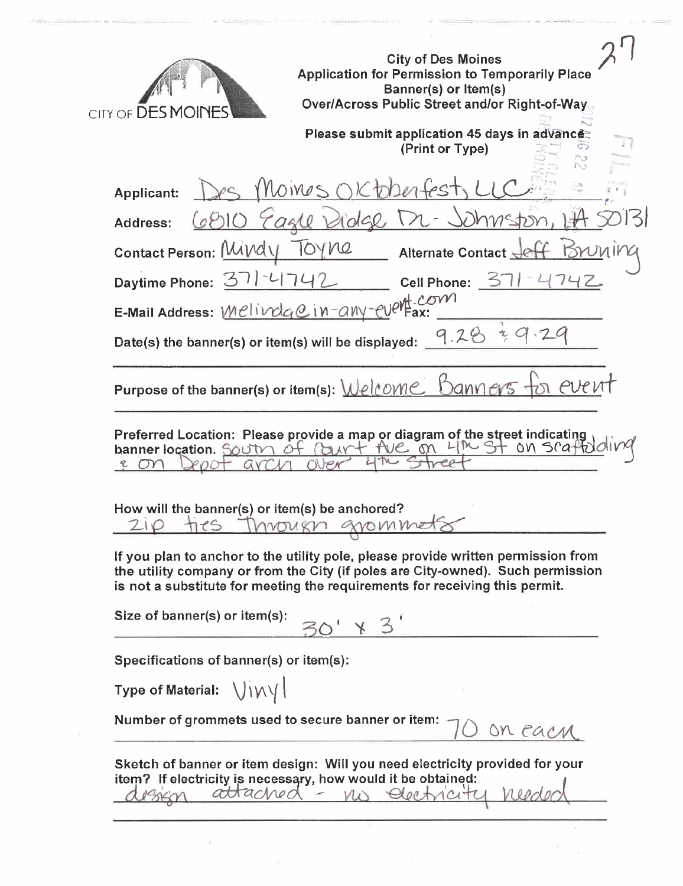| <b>City of Des Moines</b><br><b>Application for Permission to Temporarily Place</b><br>Banner(s) or Item(s)<br><b>Over/Across Public Street and/or Right-of-Way.</b><br>CITY OF <b>DES MOINES</b><br>Please submit application 45 days in advance<br>(Print or Type)                               |
|----------------------------------------------------------------------------------------------------------------------------------------------------------------------------------------------------------------------------------------------------------------------------------------------------|
| Moines<br>こんしん<br>$2e1+es$<br>Applicant:                                                                                                                                                                                                                                                           |
| Pidge M<br>- Johnstor<br>BIO Eagle<br>Address:                                                                                                                                                                                                                                                     |
| TOYNe<br>Contact Person: Mindy<br>Alternate Contact                                                                                                                                                                                                                                                |
| Daytime Phone: 371-4<br>37<br><b>Cell Phone:</b>                                                                                                                                                                                                                                                   |
| E-Mail Address: Melindge in-any-evert-com                                                                                                                                                                                                                                                          |
| 9.28<br>Date(s) the banner(s) or item(s) will be displayed:                                                                                                                                                                                                                                        |
| Purpose of the banner(s) or item(s): Welcome Banners                                                                                                                                                                                                                                               |
| ALL on 4th St on scat<br>banner location. SOUTM Of<br>M <sub>1</sub><br>How will the banner(s) or item(s) be anchored?<br>Invougn gromme<br>ties<br>210                                                                                                                                            |
| If you plan to anchor to the utility pole, please provide written permission from<br>the utility company or from the City (if poles are City-owned). Such permission<br>is not a substitute for meeting the requirements for receiving this permit.<br>Size of banner(s) or item(s):<br>$\times$ 3 |
| Specifications of banner(s) or item(s):                                                                                                                                                                                                                                                            |
| Type of Material: $\bigcup_{i\in\mathcal{N}}\bigcup_{j\in\mathcal{N}}$                                                                                                                                                                                                                             |
| Number of grommets used to secure banner or item:<br>on each                                                                                                                                                                                                                                       |
| Sketch of banner or item design: Will you need electricity provided for your<br>item? If electricity is necessary, how would it be obtained:<br>attached - no electricity                                                                                                                          |
|                                                                                                                                                                                                                                                                                                    |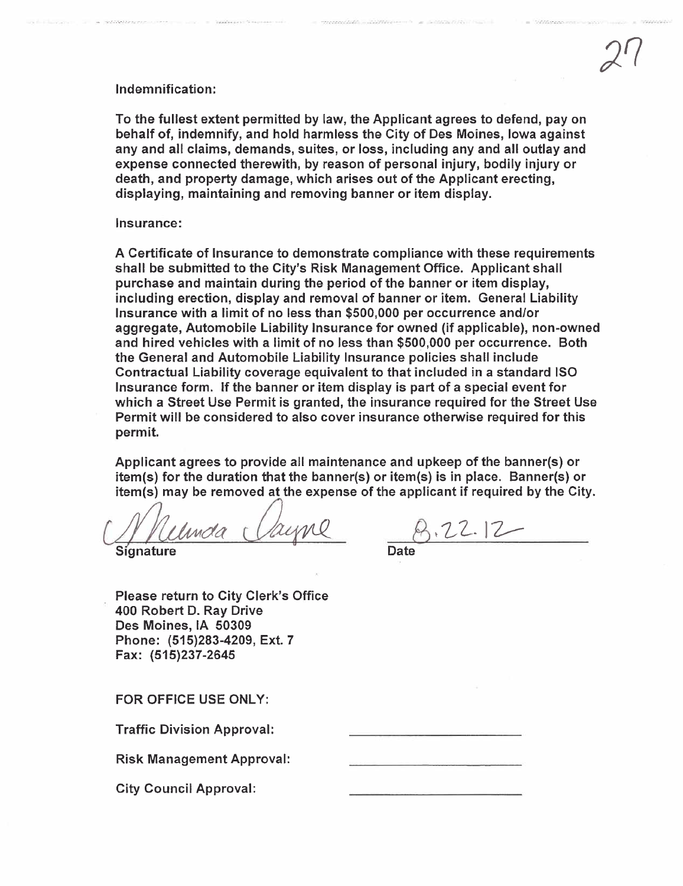## Indemnification:

To the fullest extent permitted by law, the Applicant agrees to defend, pay on behalf of, indemnify, and hold harmless the City of Des Moines, Iowa against any and all claims, demands, suites, or loss, including any and all outlay and expense connected therewith, by reason of personal injury, bodily injury or death, and property damage, which arises out of the Applicant erecting, displaying, maintaining and removing banner or item display.

## Insurance:

A Certificate of Insurance to demonstrate compliance with these requirements shall be submitted to the City's Risk Management Office. Applicant shall purchase and maintain during the period of the banner or item display, including erection, display and removal of banner or item. General Liabilty Insurance with a limit of no less than \$500,000 per occurrence and/or aggregate, Automobile Liability Insurance for owned (if applicable), non-owned and hired vehicles with a limit of no less than \$500,000 per occurrence. Both the General and Automobile Liability Insurance policies shall include Contractual Liability coverage equivalent to that included in a standard ISO Insurance form. If the banner or item display is part of a special event for which a Street Use Permit is granted, the insurance required for the Street Use Permit will be considered to also cover insurance otherwise required for this permit.

Applicant agrees to provide all maintenance and upkeep of the banner(s) or item(s) for the duration that the banner(s) or item(s) is in place. Banner(s) or item(s) may be removed at the expense of the applicant if required by the City.

Complete Cayne B.22.12

Please return to City Clerk's Office 400 Robert D. Ray Drive Des Moines, IA 50309 Phone: (515)283-4209, Ext. 7 Fax: (515)237-2645

FOR OFFICE USE ONLY:

Traffic Division Approval:

Risk Management Approval:

City Council Approval: